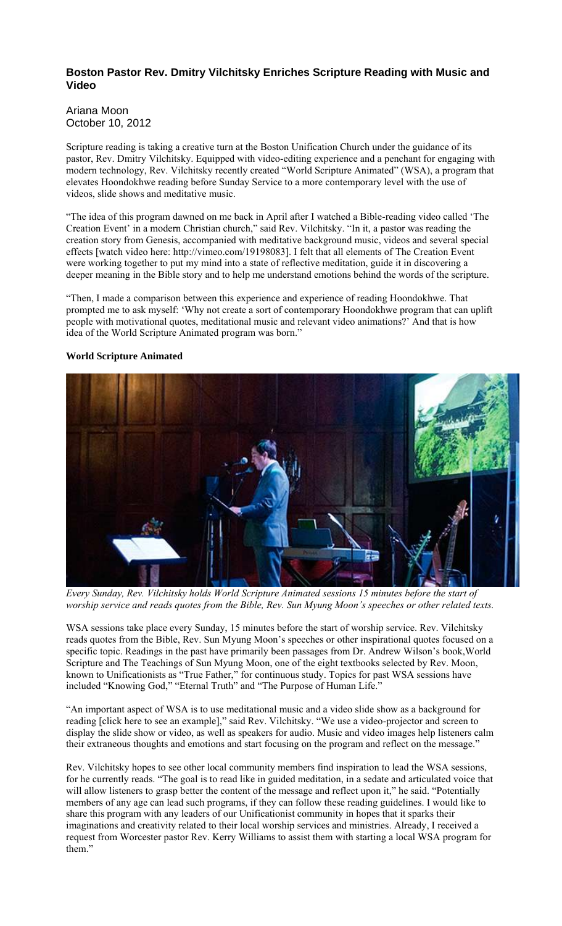## **Boston Pastor Rev. Dmitry Vilchitsky Enriches Scripture Reading with Music and Video**

## Ariana Moon October 10, 2012

Scripture reading is taking a creative turn at the Boston Unification Church under the guidance of its pastor, Rev. Dmitry Vilchitsky. Equipped with video-editing experience and a penchant for engaging with modern technology, Rev. Vilchitsky recently created "World Scripture Animated" (WSA), a program that elevates Hoondokhwe reading before Sunday Service to a more contemporary level with the use of videos, slide shows and meditative music.

"The idea of this program dawned on me back in April after I watched a Bible-reading video called 'The Creation Event' in a modern Christian church," said Rev. Vilchitsky. "In it, a pastor was reading the creation story from Genesis, accompanied with meditative background music, videos and several special effects [watch video here: http://vimeo.com/19198083]. I felt that all elements of The Creation Event were working together to put my mind into a state of reflective meditation, guide it in discovering a deeper meaning in the Bible story and to help me understand emotions behind the words of the scripture.

"Then, I made a comparison between this experience and experience of reading Hoondokhwe. That prompted me to ask myself: 'Why not create a sort of contemporary Hoondokhwe program that can uplift people with motivational quotes, meditational music and relevant video animations?' And that is how idea of the World Scripture Animated program was born."

## **World Scripture Animated**



*Every Sunday, Rev. Vilchitsky holds World Scripture Animated sessions 15 minutes before the start of worship service and reads quotes from the Bible, Rev. Sun Myung Moon's speeches or other related texts.*

WSA sessions take place every Sunday, 15 minutes before the start of worship service. Rev. Vilchitsky reads quotes from the Bible, Rev. Sun Myung Moon's speeches or other inspirational quotes focused on a specific topic. Readings in the past have primarily been passages from Dr. Andrew Wilson's book,World Scripture and The Teachings of Sun Myung Moon, one of the eight textbooks selected by Rev. Moon, known to Unificationists as "True Father," for continuous study. Topics for past WSA sessions have included "Knowing God," "Eternal Truth" and "The Purpose of Human Life."

"An important aspect of WSA is to use meditational music and a video slide show as a background for reading [click here to see an example]," said Rev. Vilchitsky. "We use a video-projector and screen to display the slide show or video, as well as speakers for audio. Music and video images help listeners calm their extraneous thoughts and emotions and start focusing on the program and reflect on the message."

Rev. Vilchitsky hopes to see other local community members find inspiration to lead the WSA sessions, for he currently reads. "The goal is to read like in guided meditation, in a sedate and articulated voice that will allow listeners to grasp better the content of the message and reflect upon it," he said. "Potentially members of any age can lead such programs, if they can follow these reading guidelines. I would like to share this program with any leaders of our Unificationist community in hopes that it sparks their imaginations and creativity related to their local worship services and ministries. Already, I received a request from Worcester pastor Rev. Kerry Williams to assist them with starting a local WSA program for them."